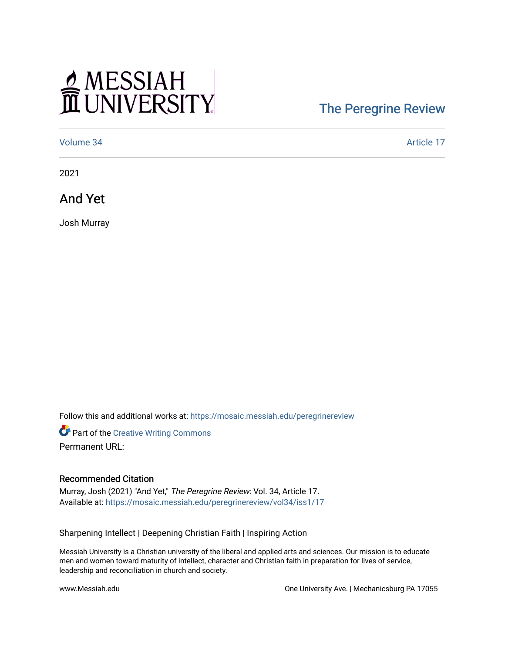## MESSIAH

## [The Peregrine Review](https://mosaic.messiah.edu/peregrinereview)

[Volume 34](https://mosaic.messiah.edu/peregrinereview/vol34) Article 17

2021

And Yet

Josh Murray

Follow this and additional works at: [https://mosaic.messiah.edu/peregrinereview](https://mosaic.messiah.edu/peregrinereview?utm_source=mosaic.messiah.edu%2Fperegrinereview%2Fvol34%2Fiss1%2F17&utm_medium=PDF&utm_campaign=PDFCoverPages) 

Part of the [Creative Writing Commons](http://network.bepress.com/hgg/discipline/574?utm_source=mosaic.messiah.edu%2Fperegrinereview%2Fvol34%2Fiss1%2F17&utm_medium=PDF&utm_campaign=PDFCoverPages)  Permanent URL:

## Recommended Citation

Murray, Josh (2021) "And Yet," The Peregrine Review: Vol. 34, Article 17. Available at: [https://mosaic.messiah.edu/peregrinereview/vol34/iss1/17](https://mosaic.messiah.edu/peregrinereview/vol34/iss1/17?utm_source=mosaic.messiah.edu%2Fperegrinereview%2Fvol34%2Fiss1%2F17&utm_medium=PDF&utm_campaign=PDFCoverPages)

Sharpening Intellect | Deepening Christian Faith | Inspiring Action

Messiah University is a Christian university of the liberal and applied arts and sciences. Our mission is to educate men and women toward maturity of intellect, character and Christian faith in preparation for lives of service, leadership and reconciliation in church and society.

www.Messiah.edu One University Ave. | Mechanicsburg PA 17055